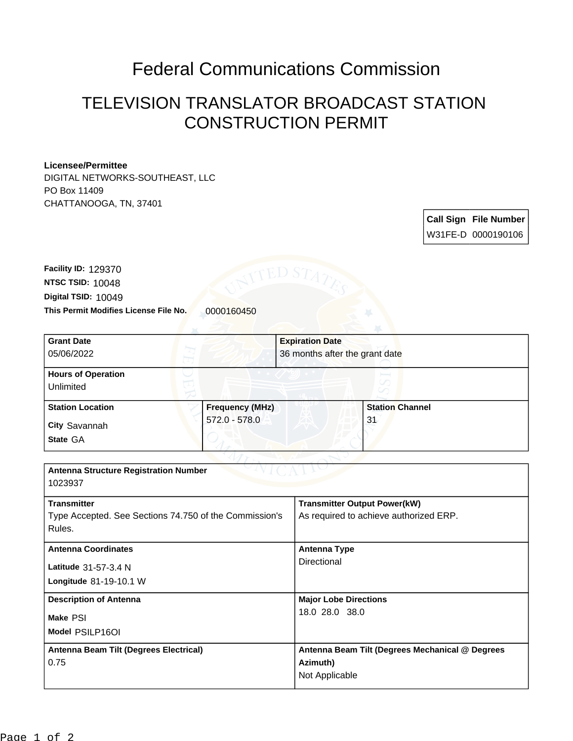## Federal Communications Commission

## TELEVISION TRANSLATOR BROADCAST STATION CONSTRUCTION PERMIT

## **Licensee/Permittee**

DIGITAL NETWORKS-SOUTHEAST, LLC PO Box 11409 CHATTANOOGA, TN, 37401

> **Call Sign File Number** W31FE-D 0000190106

This Permit Modifies License File No. 0000160450 **Digital TSID:** 10049 **NTSC TSID:** 10048 **Facility ID:** 129370

| <b>Grant Date</b>                                      |                        | <b>Expiration Date</b>         |                                                 |  |
|--------------------------------------------------------|------------------------|--------------------------------|-------------------------------------------------|--|
| 05/06/2022                                             |                        | 36 months after the grant date |                                                 |  |
| <b>Hours of Operation</b>                              |                        |                                |                                                 |  |
| Unlimited                                              |                        |                                |                                                 |  |
|                                                        |                        |                                |                                                 |  |
| <b>Station Location</b>                                | <b>Frequency (MHz)</b> |                                | <b>Station Channel</b>                          |  |
|                                                        | 572.0 - 578.0          |                                | 31                                              |  |
| <b>City Savannah</b>                                   |                        |                                |                                                 |  |
| State GA                                               |                        |                                |                                                 |  |
|                                                        |                        |                                |                                                 |  |
| <b>Antenna Structure Registration Number</b>           |                        |                                |                                                 |  |
| 1023937                                                |                        |                                |                                                 |  |
|                                                        |                        |                                |                                                 |  |
| <b>Transmitter</b>                                     |                        |                                | <b>Transmitter Output Power(kW)</b>             |  |
| Type Accepted. See Sections 74.750 of the Commission's |                        |                                | As required to achieve authorized ERP.          |  |
| Rules.                                                 |                        |                                |                                                 |  |
|                                                        |                        |                                |                                                 |  |
| <b>Antenna Coordinates</b>                             |                        | <b>Antenna Type</b>            |                                                 |  |
|                                                        |                        | Directional                    |                                                 |  |
| Latitude 31-57-3.4 N                                   |                        |                                |                                                 |  |
| Longitude 81-19-10.1 W                                 |                        |                                |                                                 |  |
| <b>Description of Antenna</b>                          |                        |                                | <b>Major Lobe Directions</b>                    |  |
|                                                        |                        |                                | 18.0 28.0 38.0                                  |  |
| Make PSI                                               |                        |                                |                                                 |  |
| Model PSILP16OI                                        |                        |                                |                                                 |  |
| Antenna Beam Tilt (Degrees Electrical)                 |                        |                                | Antenna Beam Tilt (Degrees Mechanical @ Degrees |  |
| 0.75                                                   |                        |                                | Azimuth)                                        |  |
|                                                        |                        |                                | Not Applicable                                  |  |
|                                                        |                        |                                |                                                 |  |